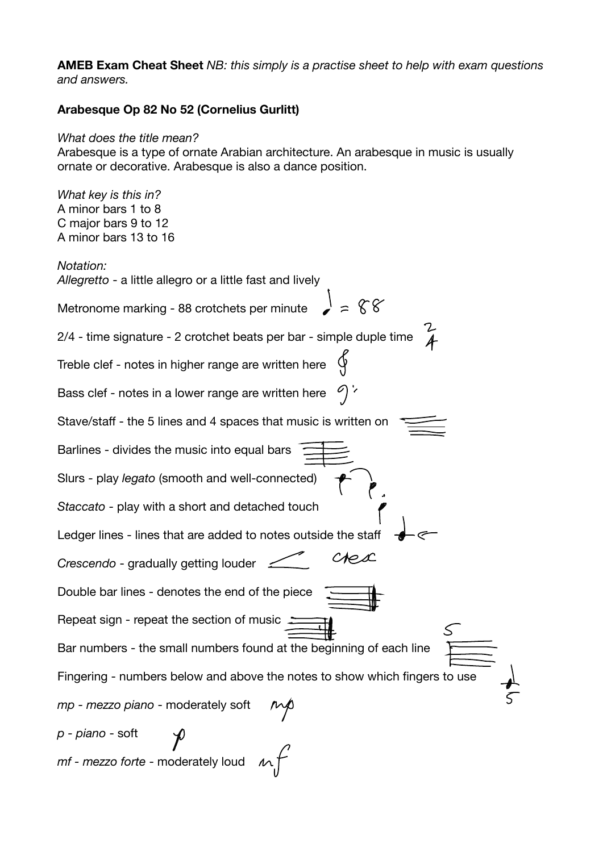**AMEB Exam Cheat Sheet** *NB: this simply is a practise sheet to help with exam questions and answers.* 

## **Arabesque Op 82 No 52 (Cornelius Gurlitt)**

## *What does the title mean?*

Arabesque is a type of ornate Arabian architecture. An arabesque in music is usually ornate or decorative. Arabesque is also a dance position.

*What key is this in?*  A minor bars 1 to 8 C major bars 9 to 12 A minor bars 13 to 16